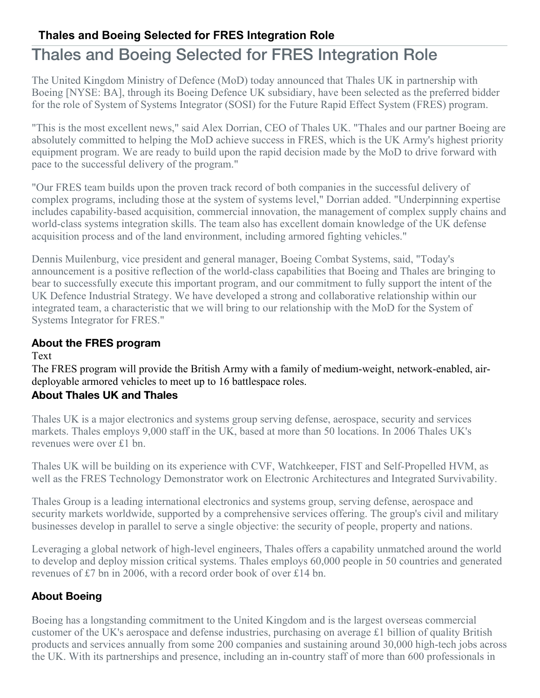## **Thales and Boeing Selected for FRES Integration Role**

# Thales and Boeing Selected for FRES Integration Role

The United Kingdom Ministry of Defence (MoD) today announced that Thales UK in partnership with Boeing [NYSE: BA], through its Boeing Defence UK subsidiary, have been selected as the preferred bidder for the role of System of Systems Integrator (SOSI) for the Future Rapid Effect System (FRES) program.

"This is the most excellent news," said Alex Dorrian, CEO of Thales UK. "Thales and our partner Boeing are absolutely committed to helping the MoD achieve success in FRES, which is the UK Army's highest priority equipment program. We are ready to build upon the rapid decision made by the MoD to drive forward with pace to the successful delivery of the program."

"Our FRES team builds upon the proven track record of both companies in the successful delivery of complex programs, including those at the system of systems level," Dorrian added. "Underpinning expertise includes capability-based acquisition, commercial innovation, the management of complex supply chains and world-class systems integration skills. The team also has excellent domain knowledge of the UK defense acquisition process and of the land environment, including armored fighting vehicles."

Dennis Muilenburg, vice president and general manager, Boeing Combat Systems, said, "Today's announcement is a positive reflection of the world-class capabilities that Boeing and Thales are bringing to bear to successfully execute this important program, and our commitment to fully support the intent of the UK Defence Industrial Strategy. We have developed a strong and collaborative relationship within our integrated team, a characteristic that we will bring to our relationship with the MoD for the System of Systems Integrator for FRES."

### **About the FRES program**

#### Text

The FRES program will provide the British Army with a family of medium-weight, network-enabled, airdeployable armored vehicles to meet up to 16 battlespace roles. **About Thales UK and Thales**

Thales UK is a major electronics and systems group serving defense, aerospace, security and services markets. Thales employs 9,000 staff in the UK, based at more than 50 locations. In 2006 Thales UK's revenues were over £1 bn.

Thales UK will be building on its experience with CVF, Watchkeeper, FIST and Self-Propelled HVM, as well as the FRES Technology Demonstrator work on Electronic Architectures and Integrated Survivability.

Thales Group is a leading international electronics and systems group, serving defense, aerospace and security markets worldwide, supported by a comprehensive services offering. The group's civil and military businesses develop in parallel to serve a single objective: the security of people, property and nations.

Leveraging a global network of high-level engineers, Thales offers a capability unmatched around the world to develop and deploy mission critical systems. Thales employs 60,000 people in 50 countries and generated revenues of £7 bn in 2006, with a record order book of over £14 bn.

## **About Boeing**

Boeing has a longstanding commitment to the United Kingdom and is the largest overseas commercial customer of the UK's aerospace and defense industries, purchasing on average £1 billion of quality British products and services annually from some 200 companies and sustaining around 30,000 high-tech jobs across the UK. With its partnerships and presence, including an in-country staff of more than 600 professionals in